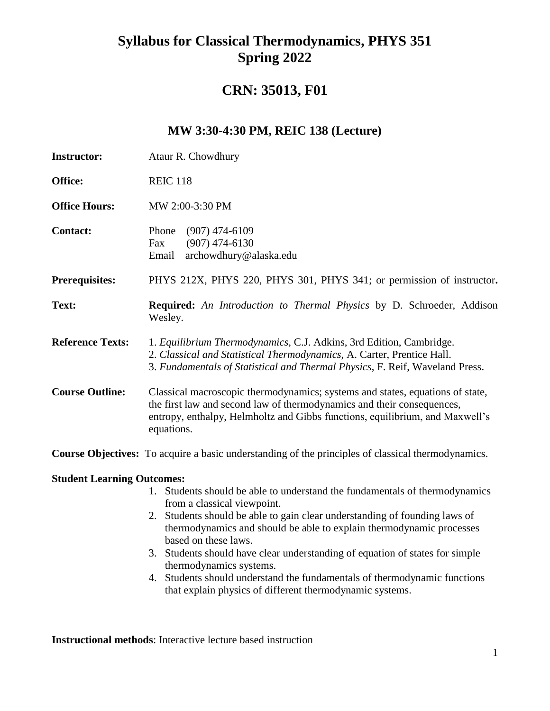### **CRN: 35013, F01**

### **MW 3:30-4:30 PM, REIC 138 (Lecture)**

| <b>Instructor:</b>               | Ataur R. Chowdhury                                                                                                                                                                                                                                    |
|----------------------------------|-------------------------------------------------------------------------------------------------------------------------------------------------------------------------------------------------------------------------------------------------------|
| Office:                          | <b>REIC 118</b>                                                                                                                                                                                                                                       |
| <b>Office Hours:</b>             | MW 2:00-3:30 PM                                                                                                                                                                                                                                       |
| <b>Contact:</b>                  | Phone<br>$(907)$ 474-6109<br>$(907)$ 474-6130<br>Fax<br>archowdhury@alaska.edu<br>Email                                                                                                                                                               |
| <b>Prerequisites:</b>            | PHYS 212X, PHYS 220, PHYS 301, PHYS 341; or permission of instructor.                                                                                                                                                                                 |
| Text:                            | <b>Required:</b> An Introduction to Thermal Physics by D. Schroeder, Addison<br>Wesley.                                                                                                                                                               |
| <b>Reference Texts:</b>          | 1. Equilibrium Thermodynamics, C.J. Adkins, 3rd Edition, Cambridge.<br>2. Classical and Statistical Thermodynamics, A. Carter, Prentice Hall.<br>3. Fundamentals of Statistical and Thermal Physics, F. Reif, Waveland Press.                         |
| <b>Course Outline:</b>           | Classical macroscopic thermodynamics; systems and states, equations of state,<br>the first law and second law of thermodynamics and their consequences,<br>entropy, enthalpy, Helmholtz and Gibbs functions, equilibrium, and Maxwell's<br>equations. |
|                                  | <b>Course Objectives:</b> To acquire a basic understanding of the principles of classical thermodynamics.                                                                                                                                             |
| <b>Student Learning Autoemea</b> |                                                                                                                                                                                                                                                       |

#### **Student Learning Outcomes:**

- 1. Students should be able to understand the fundamentals of thermodynamics from a classical viewpoint.
- 2. Students should be able to gain clear understanding of founding laws of thermodynamics and should be able to explain thermodynamic processes based on these laws.
- 3. Students should have clear understanding of equation of states for simple thermodynamics systems.
- 4. Students should understand the fundamentals of thermodynamic functions that explain physics of different thermodynamic systems.

**Instructional methods**: Interactive lecture based instruction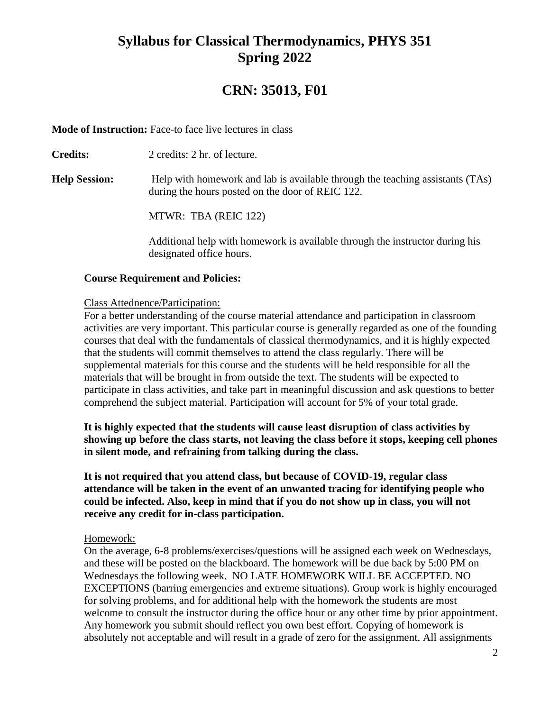### **CRN: 35013, F01**

**Mode of Instruction:** Face-to face live lectures in class

**Credits:** 2 credits: 2 hr. of lecture.

**Help Session:** Help with homework and lab is available through the teaching assistants (TAs) during the hours posted on the door of REIC 122.

MTWR: TBA (REIC 122)

Additional help with homework is available through the instructor during his designated office hours.

#### **Course Requirement and Policies:**

#### Class Attednence/Participation:

For a better understanding of the course material attendance and participation in classroom activities are very important. This particular course is generally regarded as one of the founding courses that deal with the fundamentals of classical thermodynamics, and it is highly expected that the students will commit themselves to attend the class regularly. There will be supplemental materials for this course and the students will be held responsible for all the materials that will be brought in from outside the text. The students will be expected to participate in class activities, and take part in meaningful discussion and ask questions to better comprehend the subject material. Participation will account for 5% of your total grade.

**It is highly expected that the students will cause least disruption of class activities by showing up before the class starts, not leaving the class before it stops, keeping cell phones in silent mode, and refraining from talking during the class.**

**It is not required that you attend class, but because of COVID-19, regular class attendance will be taken in the event of an unwanted tracing for identifying people who could be infected. Also, keep in mind that if you do not show up in class, you will not receive any credit for in-class participation.**

#### Homework:

On the average, 6-8 problems/exercises/questions will be assigned each week on Wednesdays, and these will be posted on the blackboard. The homework will be due back by 5:00 PM on Wednesdays the following week. NO LATE HOMEWORK WILL BE ACCEPTED. NO EXCEPTIONS (barring emergencies and extreme situations). Group work is highly encouraged for solving problems, and for additional help with the homework the students are most welcome to consult the instructor during the office hour or any other time by prior appointment. Any homework you submit should reflect you own best effort. Copying of homework is absolutely not acceptable and will result in a grade of zero for the assignment. All assignments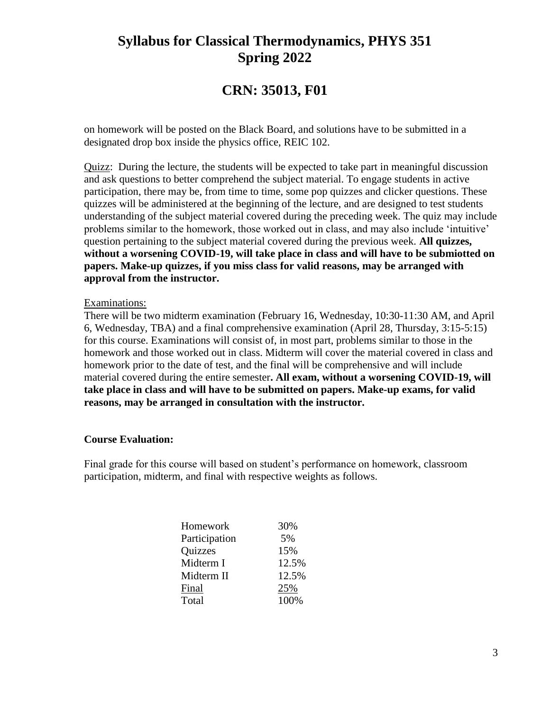### **CRN: 35013, F01**

on homework will be posted on the Black Board, and solutions have to be submitted in a designated drop box inside the physics office, REIC 102.

Quizz: During the lecture, the students will be expected to take part in meaningful discussion and ask questions to better comprehend the subject material. To engage students in active participation, there may be, from time to time, some pop quizzes and clicker questions. These quizzes will be administered at the beginning of the lecture, and are designed to test students understanding of the subject material covered during the preceding week. The quiz may include problems similar to the homework, those worked out in class, and may also include 'intuitive' question pertaining to the subject material covered during the previous week. **All quizzes, without a worsening COVID-19, will take place in class and will have to be submiotted on papers. Make-up quizzes, if you miss class for valid reasons, may be arranged with approval from the instructor.**

#### Examinations:

There will be two midterm examination (February 16, Wednesday, 10:30-11:30 AM, and April 6, Wednesday, TBA) and a final comprehensive examination (April 28, Thursday, 3:15-5:15) for this course. Examinations will consist of, in most part, problems similar to those in the homework and those worked out in class. Midterm will cover the material covered in class and homework prior to the date of test, and the final will be comprehensive and will include material covered during the entire semester**. All exam, without a worsening COVID-19, will take place in class and will have to be submitted on papers. Make-up exams, for valid reasons, may be arranged in consultation with the instructor.**

#### **Course Evaluation:**

Final grade for this course will based on student's performance on homework, classroom participation, midterm, and final with respective weights as follows.

| Homework      | 30%   |
|---------------|-------|
| Participation | 5%    |
| Quizzes       | 15%   |
| Midterm I     | 12.5% |
| Midterm II    | 12.5% |
| Final         | 25%   |
| Total         | 100%  |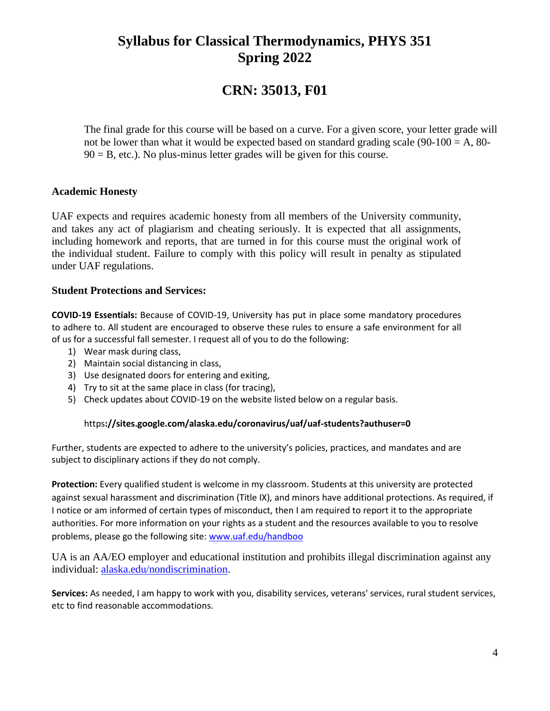### **CRN: 35013, F01**

The final grade for this course will be based on a curve. For a given score, your letter grade will not be lower than what it would be expected based on standard grading scale  $(90-100 = A, 80-100)$  $90 = B$ , etc.). No plus-minus letter grades will be given for this course.

#### **Academic Honesty**

UAF expects and requires academic honesty from all members of the University community, and takes any act of plagiarism and cheating seriously. It is expected that all assignments, including homework and reports, that are turned in for this course must the original work of the individual student. Failure to comply with this policy will result in penalty as stipulated under UAF regulations.

#### **Student Protections and Services:**

**COVID-19 Essentials:** Because of COVID-19, University has put in place some mandatory procedures to adhere to. All student are encouraged to observe these rules to ensure a safe environment for all of us for a successful fall semester. I request all of you to do the following:

- 1) Wear mask during class,
- 2) Maintain social distancing in class,
- 3) Use designated doors for entering and exiting,
- 4) Try to sit at the same place in class (for tracing),
- 5) Check updates about COVID-19 on the website listed below on a regular basis.

#### https**://sites.google.com/alaska.edu/coronavirus/uaf/uaf-students?authuser=0**

Further, students are expected to adhere to the university's policies, practices, and mandates and are subject to disciplinary actions if they do not comply.

**Protection:** Every qualified student is welcome in my classroom. Students at this university are protected against sexual harassment and discrimination (Title IX), and minors have additional protections. As required, if I notice or am informed of certain types of misconduct, then I am required to report it to the appropriate authorities. For more information on your rights as a student and the resources available to you to resolve problems, please go the following site[: www.uaf.edu/handboo](https://www.google.com/url?q=http://www.uaf.edu/handbook/&sa=D&ust=1538527369509000&usg=AFQjCNESuscYx56iZOeUMYOtsncUgPcg9A)

UA is an AA/EO employer and educational institution and prohibits illegal discrimination against any individual: [alaska.edu/nondiscrimination.](https://www.google.com/url?q=http://alaska.edu/nondiscrimination&sa=D&ust=1538527369514000&usg=AFQjCNHjkyq0V2-h5XgnHGAvdWESjUm5bw)

**Services:** As needed, I am happy to work with you, disability services, veterans' services, rural student services, etc to find reasonable accommodations.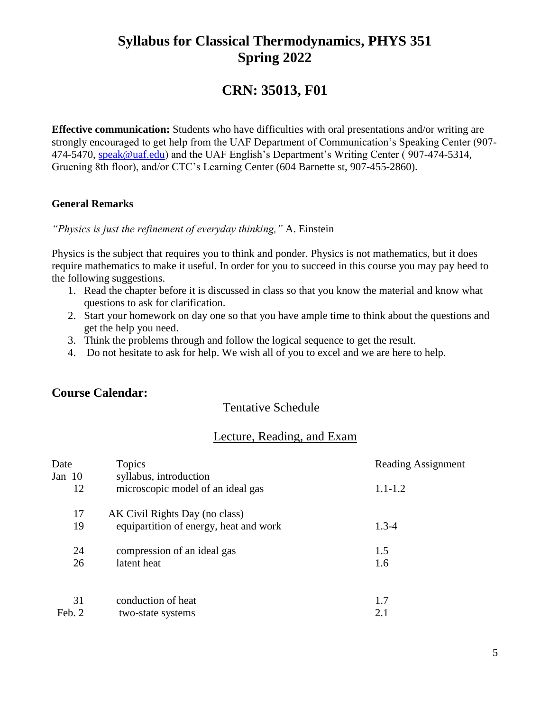## **CRN: 35013, F01**

**Effective communication:** Students who have difficulties with oral presentations and/or writing are strongly encouraged to get help from the UAF Department of Communication's Speaking Center (907- 474-5470, [speak@uaf.edu\)](mailto:speak@uaf.edu) and the UAF English's Department's Writing Center ( 907-474-5314, Gruening 8th floor), and/or CTC's Learning Center (604 Barnette st, 907-455-2860).

#### **General Remarks**

*"Physics is just the refinement of everyday thinking,"* A. Einstein

Physics is the subject that requires you to think and ponder. Physics is not mathematics, but it does require mathematics to make it useful. In order for you to succeed in this course you may pay heed to the following suggestions.

- 1. Read the chapter before it is discussed in class so that you know the material and know what questions to ask for clarification.
- 2. Start your homework on day one so that you have ample time to think about the questions and get the help you need.
- 3. Think the problems through and follow the logical sequence to get the result.
- 4. Do not hesitate to ask for help. We wish all of you to excel and we are here to help.

### **Course Calendar:**

### Tentative Schedule

### Lecture, Reading, and Exam

| Date     | Topics                                 | <b>Reading Assignment</b> |
|----------|----------------------------------------|---------------------------|
| Jan $10$ | syllabus, introduction                 |                           |
| 12       | microscopic model of an ideal gas      | $1.1 - 1.2$               |
| 17       | AK Civil Rights Day (no class)         |                           |
| 19       | equipartition of energy, heat and work | $1.3 - 4$                 |
| 24       | compression of an ideal gas            | 1.5                       |
| 26       | latent heat                            | 1.6                       |
|          |                                        |                           |
| 31       | conduction of heat                     | 1.7                       |
| Feb. 2   | two-state systems                      | 2.1                       |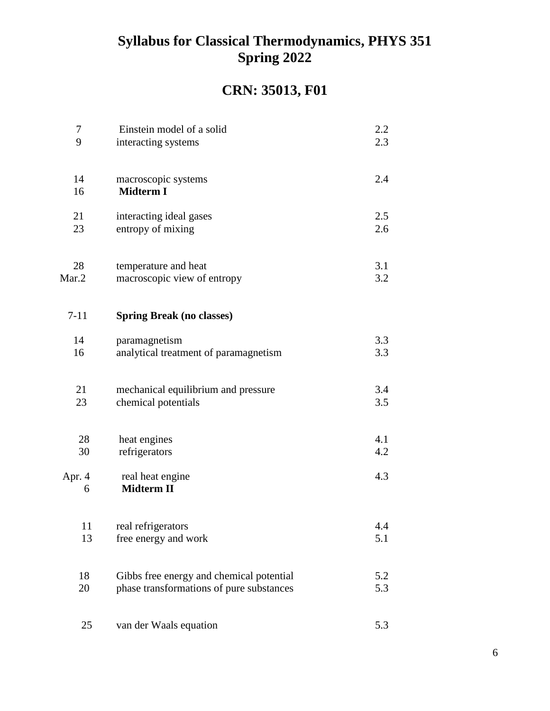# **CRN: 35013, F01**

| $\overline{7}$ | Einstein model of a solid                | 2.2 |  |
|----------------|------------------------------------------|-----|--|
| 9              | interacting systems                      | 2.3 |  |
|                |                                          |     |  |
|                |                                          |     |  |
| 14             | macroscopic systems                      | 2.4 |  |
| 16             | <b>Midterm I</b>                         |     |  |
|                |                                          |     |  |
| 21             | interacting ideal gases                  | 2.5 |  |
| 23             | entropy of mixing                        | 2.6 |  |
|                |                                          |     |  |
|                |                                          |     |  |
| 28             | temperature and heat                     | 3.1 |  |
| Mar.2          | macroscopic view of entropy              | 3.2 |  |
|                |                                          |     |  |
|                |                                          |     |  |
| $7 - 11$       | <b>Spring Break (no classes)</b>         |     |  |
|                |                                          |     |  |
| 14             | paramagnetism                            | 3.3 |  |
| 16             | analytical treatment of paramagnetism    | 3.3 |  |
|                |                                          |     |  |
|                |                                          |     |  |
| 21             | mechanical equilibrium and pressure      | 3.4 |  |
| 23             | chemical potentials                      | 3.5 |  |
|                |                                          |     |  |
| 28             | heat engines                             | 4.1 |  |
| 30             | refrigerators                            | 4.2 |  |
|                |                                          |     |  |
| Apr. 4         | real heat engine                         | 4.3 |  |
| 6              | <b>Midterm II</b>                        |     |  |
|                |                                          |     |  |
|                |                                          |     |  |
| 11             | real refrigerators                       | 4.4 |  |
| 13             | free energy and work                     | 5.1 |  |
|                |                                          |     |  |
|                |                                          |     |  |
| 18             | Gibbs free energy and chemical potential | 5.2 |  |
| 20             | phase transformations of pure substances | 5.3 |  |
|                |                                          |     |  |
|                |                                          |     |  |
| 25             | van der Waals equation                   | 5.3 |  |